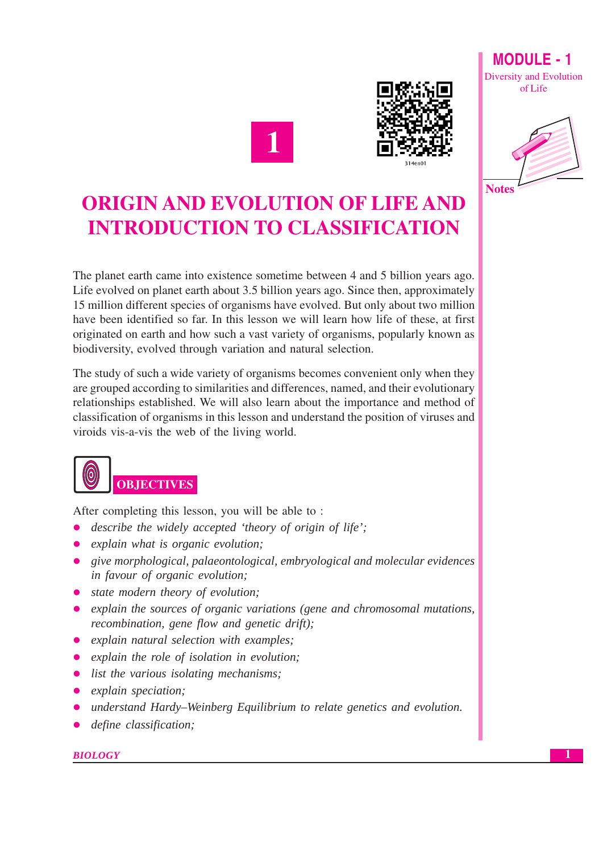



**Diversity and Evolution** of Life

 $MODIII F - 1$ 



# **ORIGIN AND EVOLUTION OF LIFE AND INTRODUCTION TO CLASSIFICATION**

The planet earth came into existence sometime between 4 and 5 billion years ago. Life evolved on planet earth about 3.5 billion years ago. Since then, approximately 15 million different species of organisms have evolved. But only about two million have been identified so far. In this lesson we will learn how life of these, at first originated on earth and how such a vast variety of organisms, popularly known as biodiversity, evolved through variation and natural selection.

The study of such a wide variety of organisms becomes convenient only when they are grouped according to similarities and differences, named, and their evolutionary relationships established. We will also learn about the importance and method of classification of organisms in this lesson and understand the position of viruses and viroids vis-a-vis the web of the living world.



After completing this lesson, you will be able to:

- *describe the widely accepted 'theory of origin of life':*  $\bullet$
- explain what is organic evolution;
- give morphological, palaeontological, embryological and molecular evidences in favour of organic evolution;
- state modern theory of evolution;
- explain the sources of organic variations (gene and chromosomal mutations, recombination, gene flow and genetic drift);
- explain natural selection with examples;
- explain the role of isolation in evolution;
- $\bullet$  list the various isolating mechanisms;
- $\bullet$  explain speciation:
- understand Hardy–Weinberg Equilibrium to relate genetics and evolution.
- define classification;

#### **BIOLOGY**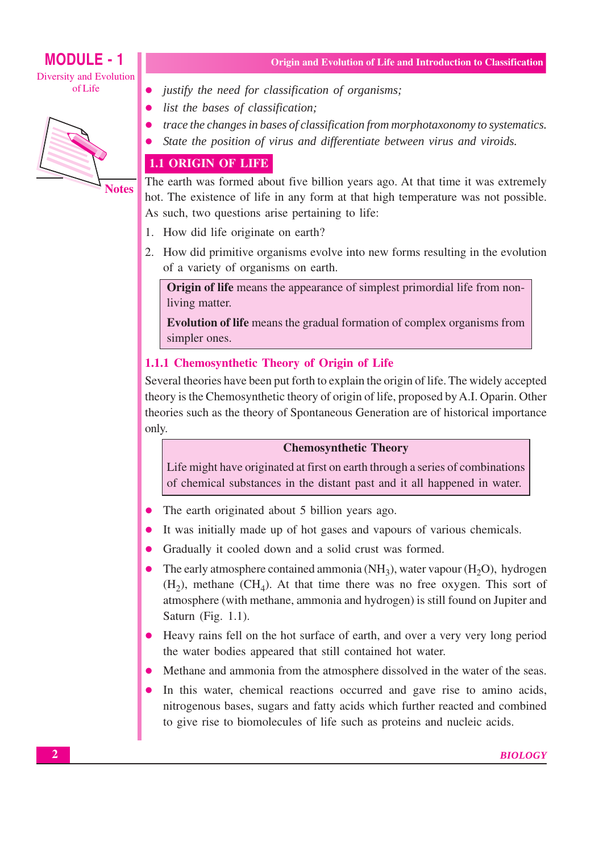# **MODULE - 1**

Diversity and Evolution of Life



Origin and Evolution of Life and Introduction to Classification

- justify the need for classification of organisms;
- list the bases of classification;
- trace the changes in bases of classification from morphotaxonomy to systematics.
- State the position of virus and differentiate between virus and viroids.

# **1.1 ORIGIN OF LIFE**

The earth was formed about five billion years ago. At that time it was extremely hot. The existence of life in any form at that high temperature was not possible. As such, two questions arise pertaining to life:

- 1. How did life originate on earth?
- 2. How did primitive organisms evolve into new forms resulting in the evolution of a variety of organisms on earth.

**Origin of life** means the appearance of simplest primordial life from nonliving matter.

**Evolution of life** means the gradual formation of complex organisms from simpler ones.

# 1.1.1 Chemosynthetic Theory of Origin of Life

Several theories have been put forth to explain the origin of life. The widely accepted theory is the Chemosynthetic theory of origin of life, proposed by A.I. Oparin. Other theories such as the theory of Spontaneous Generation are of historical importance only.

# **Chemosynthetic Theory**

Life might have originated at first on earth through a series of combinations of chemical substances in the distant past and it all happened in water.

- The earth originated about 5 billion years ago.
- It was initially made up of hot gases and vapours of various chemicals.
- Gradually it cooled down and a solid crust was formed.
- $\bullet$ The early atmosphere contained ammonia (NH<sub>3</sub>), water vapour (H<sub>2</sub>O), hydrogen  $(H_2)$ , methane  $(CH_4)$ . At that time there was no free oxygen. This sort of atmosphere (with methane, ammonia and hydrogen) is still found on Jupiter and Saturn (Fig. 1.1).
- Heavy rains fell on the hot surface of earth, and over a very very long period the water bodies appeared that still contained hot water.
- Methane and ammonia from the atmosphere dissolved in the water of the seas.
- In this water, chemical reactions occurred and gave rise to amino acids, nitrogenous bases, sugars and fatty acids which further reacted and combined to give rise to biomolecules of life such as proteins and nucleic acids.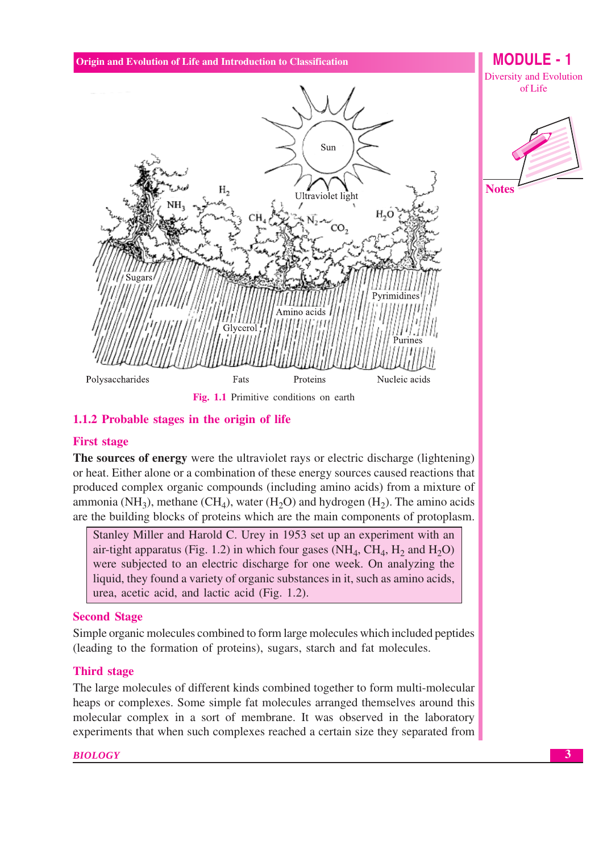

# 1.1.2 Probable stages in the origin of life

# **First stage**

**The sources of energy** were the ultraviolet rays or electric discharge (lightening) or heat. Either alone or a combination of these energy sources caused reactions that produced complex organic compounds (including amino acids) from a mixture of ammonia (NH<sub>3</sub>), methane (CH<sub>4</sub>), water (H<sub>2</sub>O) and hydrogen (H<sub>2</sub>). The amino acids are the building blocks of proteins which are the main components of protoplasm.

Stanley Miller and Harold C. Urey in 1953 set up an experiment with an air-tight apparatus (Fig. 1.2) in which four gases (NH<sub>4</sub>, CH<sub>4</sub>, H<sub>2</sub> and H<sub>2</sub>O) were subjected to an electric discharge for one week. On analyzing the liquid, they found a variety of organic substances in it, such as amino acids, urea, acetic acid, and lactic acid (Fig. 1.2).

#### **Second Stage**

Simple organic molecules combined to form large molecules which included peptides (leading to the formation of proteins), sugars, starch and fat molecules.

#### **Third stage**

The large molecules of different kinds combined together to form multi-molecular heaps or complexes. Some simple fat molecules arranged themselves around this molecular complex in a sort of membrane. It was observed in the laboratory experiments that when such complexes reached a certain size they separated from

#### **BIOLOGY**

of Life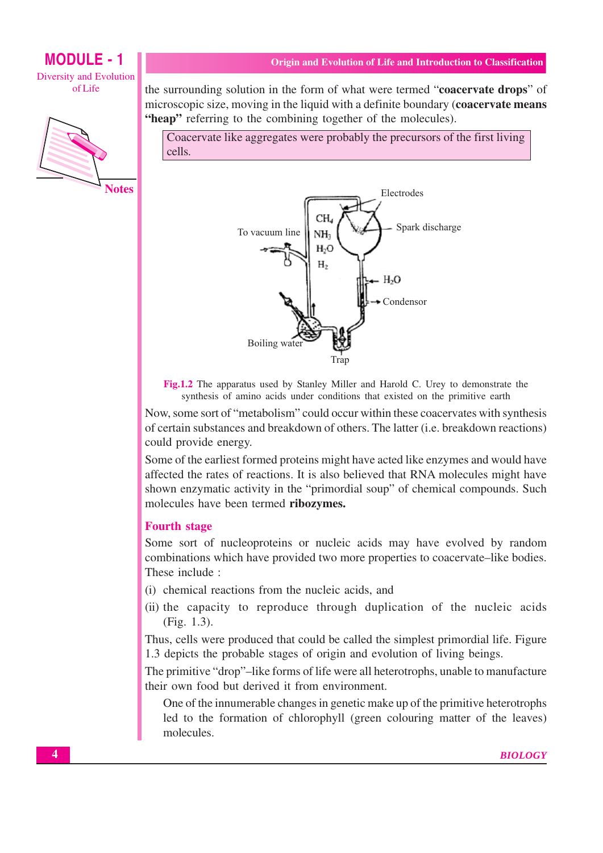# **MODULE - 1 Diversity and Evolution**

of Life



**Notes** 

the surrounding solution in the form of what were termed "coacervate drops" of microscopic size, moving in the liquid with a definite boundary (coacervate means "heap" referring to the combining together of the molecules).

Coacervate like aggregates were probably the precursors of the first living cells.



Fig.1.2 The apparatus used by Stanley Miller and Harold C. Urey to demonstrate the synthesis of amino acids under conditions that existed on the primitive earth

Now, some sort of "metabolism" could occur within these coacervates with synthesis of certain substances and breakdown of others. The latter (*i.e.* breakdown reactions) could provide energy.

Some of the earliest formed proteins might have acted like enzymes and would have affected the rates of reactions. It is also believed that RNA molecules might have shown enzymatic activity in the "primordial soup" of chemical compounds. Such molecules have been termed ribozymes.

#### **Fourth stage**

Some sort of nucleoproteins or nucleic acids may have evolved by random combinations which have provided two more properties to coacervate–like bodies. These include:

- (i) chemical reactions from the nucleic acids, and
- (ii) the capacity to reproduce through duplication of the nucleic acids (Fig. 1.3).

Thus, cells were produced that could be called the simplest primordial life. Figure 1.3 depicts the probable stages of origin and evolution of living beings.

The primitive "drop"-like forms of life were all heterotrophs, unable to manufacture their own food but derived it from environment.

One of the innumerable changes in genetic make up of the primitive heterotrophs led to the formation of chlorophyll (green colouring matter of the leaves) molecules.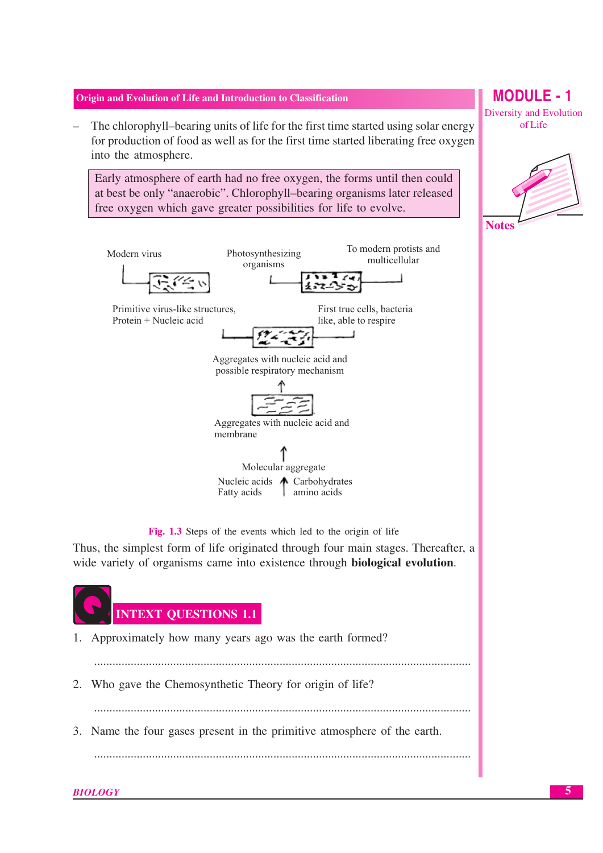The chlorophyll-bearing units of life for the first time started using solar energy for production of food as well as for the first time started liberating free oxygen into the atmosphere.

Early atmosphere of earth had no free oxygen, the forms until then could at best be only "anaerobic". Chlorophyll-bearing organisms later released free oxygen which gave greater possibilities for life to evolve.



Fig. 1.3 Steps of the events which led to the origin of life

Thus, the simplest form of life originated through four main stages. Thereafter, a wide variety of organisms came into existence through **biological evolution**.



- 1. Approximately how many years ago was the earth formed?
- 2. Who gave the Chemosynthetic Theory for origin of life?

3. Name the four gases present in the primitive atmosphere of the earth.

# **MODULE - 1 Diversity and Evolution** of Life

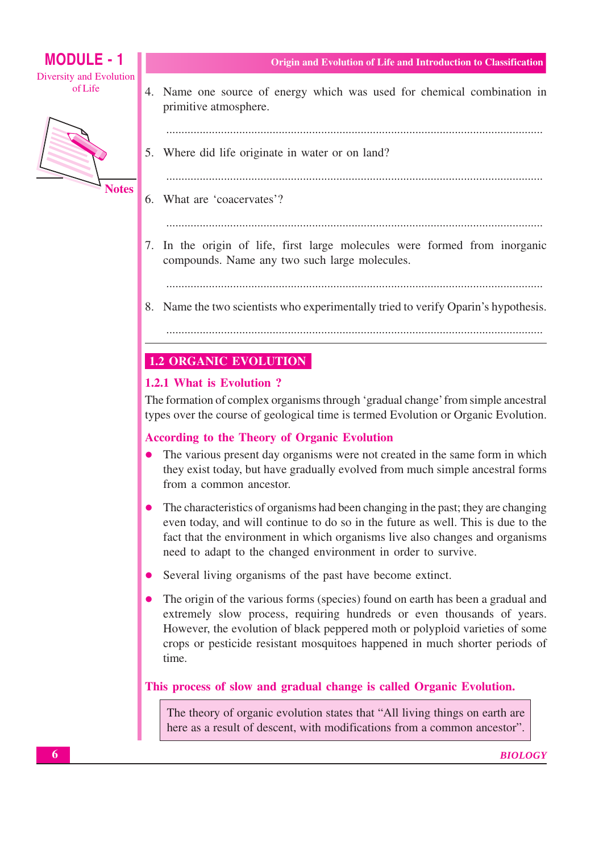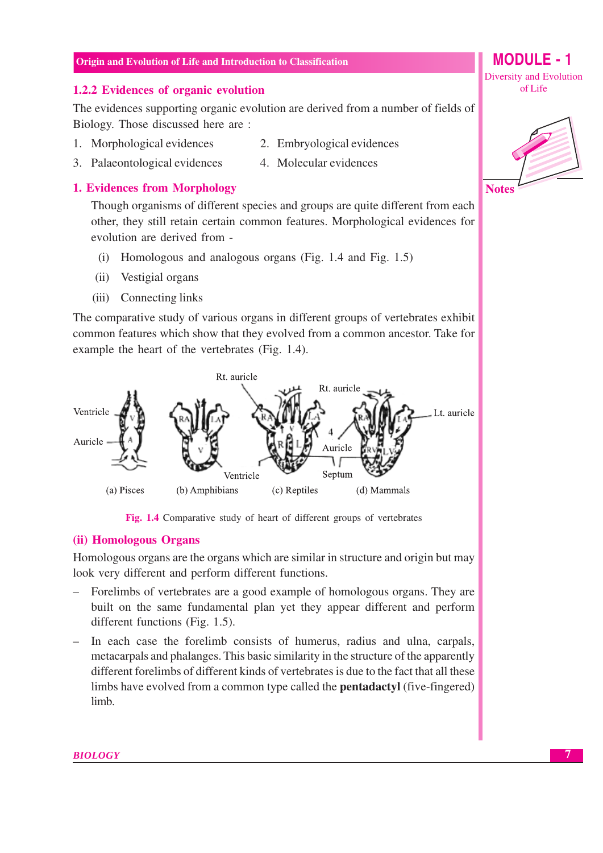#### 1.2.2 Evidences of organic evolution

The evidences supporting organic evolution are derived from a number of fields of Biology. Those discussed here are :

- 1. Morphological evidences
- 2. Embryological evidences
- 4. Molecular evidences 3. Palaeontological evidences

# **1. Evidences from Morphology**

Though organisms of different species and groups are quite different from each other, they still retain certain common features. Morphological evidences for evolution are derived from -

- $(i)$ Homologous and analogous organs (Fig. 1.4 and Fig. 1.5)
- (ii) Vestigial organs
- $(iii)$ Connecting links

The comparative study of various organs in different groups of vertebrates exhibit common features which show that they evolved from a common ancestor. Take for example the heart of the vertebrates (Fig. 1.4).



Fig. 1.4 Comparative study of heart of different groups of vertebrates

#### (ii) Homologous Organs

Homologous organs are the organs which are similar in structure and origin but may look very different and perform different functions.

- Forelimbs of vertebrates are a good example of homologous organs. They are built on the same fundamental plan yet they appear different and perform different functions (Fig. 1.5).
- In each case the forelimb consists of humerus, radius and ulna, carpals, metacarpals and phalanges. This basic similarity in the structure of the apparently different forelimbs of different kinds of vertebrates is due to the fact that all these limbs have evolved from a common type called the **pentadactyl** (five-fingered) limb.

MODULE -  $1$ 

**Diversity and Evolution** of Life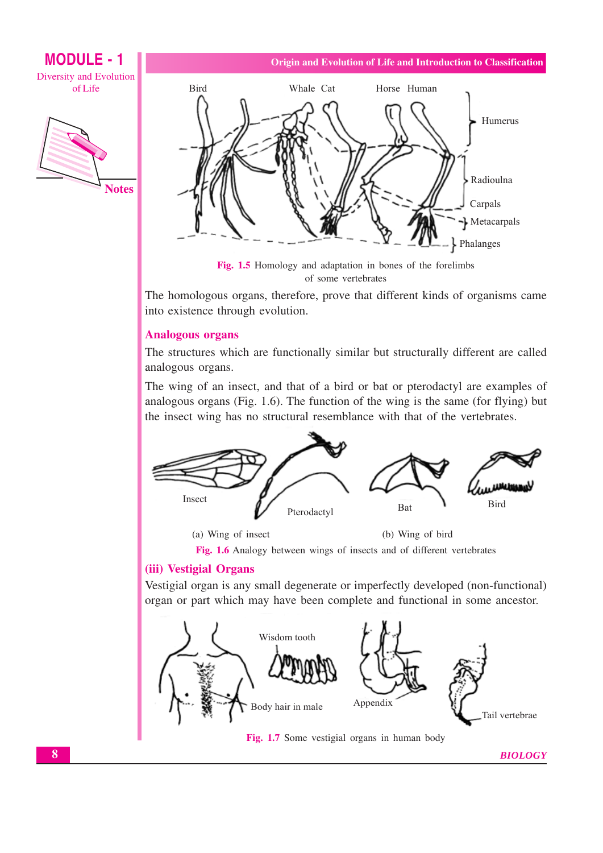**MODULE - 1 Diversity and Evolution** of Life





Origin and Evolution of Life and Introduction to Classification

of some vertebrates

The homologous organs, therefore, prove that different kinds of organisms came into existence through evolution.

# **Analogous organs**

The structures which are functionally similar but structurally different are called analogous organs.

The wing of an insect, and that of a bird or bat or pterodactyl are examples of analogous organs (Fig. 1.6). The function of the wing is the same (for flying) but the insect wing has no structural resemblance with that of the vertebrates.



(a) Wing of insect

(b) Wing of bird

Fig. 1.6 Analogy between wings of insects and of different vertebrates

# (iii) Vestigial Organs

Vestigial organ is any small degenerate or imperfectly developed (non-functional) organ or part which may have been complete and functional in some ancestor.

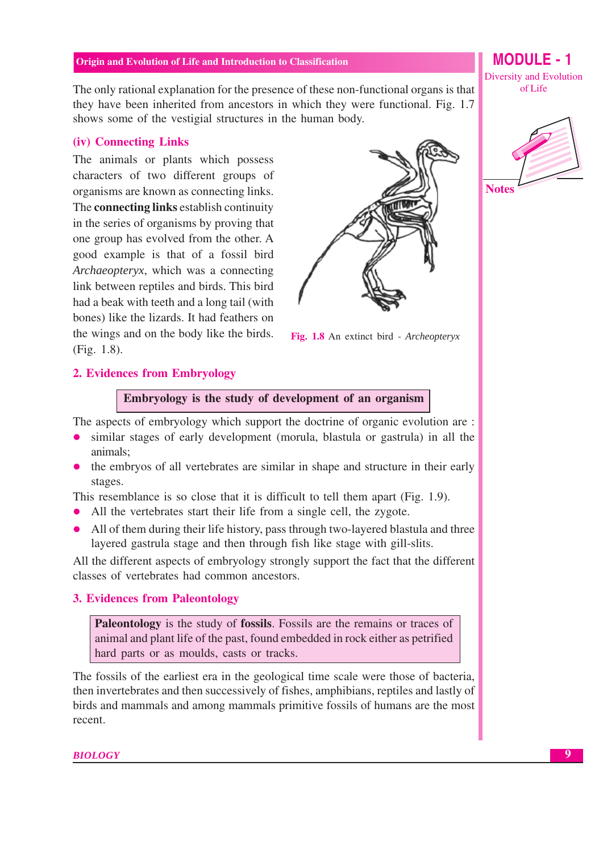The only rational explanation for the presence of these non-functional organs is that they have been inherited from ancestors in which they were functional. Fig. 1.7 shows some of the vestigial structures in the human body.

#### (iv) Connecting Links

The animals or plants which possess characters of two different groups of organisms are known as connecting links. The **connecting links** establish continuity in the series of organisms by proving that one group has evolved from the other. A good example is that of a fossil bird Archaeopteryx, which was a connecting link between reptiles and birds. This bird had a beak with teeth and a long tail (with bones) like the lizards. It had feathers on the wings and on the body like the birds.  $(Fi\varrho, 1.8).$ 



Fig. 1.8 An extinct bird - Archeopteryx

#### 2. Evidences from Embryology

Embryology is the study of development of an organism

The aspects of embryology which support the doctrine of organic evolution are :

- similar stages of early development (morula, blastula or gastrula) in all the animals:
- the embryos of all vertebrates are similar in shape and structure in their early stages.

This resemblance is so close that it is difficult to tell them apart (Fig. 1.9).

- All the vertebrates start their life from a single cell, the zygote.
- All of them during their life history, pass through two-layered blastula and three layered gastrula stage and then through fish like stage with gill-slits.

All the different aspects of embryology strongly support the fact that the different classes of vertebrates had common ancestors.

#### **3. Evidences from Paleontology**

**Paleontology** is the study of **fossils**. Fossils are the remains or traces of animal and plant life of the past, found embedded in rock either as petrified hard parts or as moulds, casts or tracks.

The fossils of the earliest era in the geological time scale were those of bacteria. then invertebrates and then successively of fishes, amphibians, reptiles and lastly of birds and mammals and among mammals primitive fossils of humans are the most recent.

**BIOLOGY** 

**MODULE - 1 Diversity and Evolution** of Life

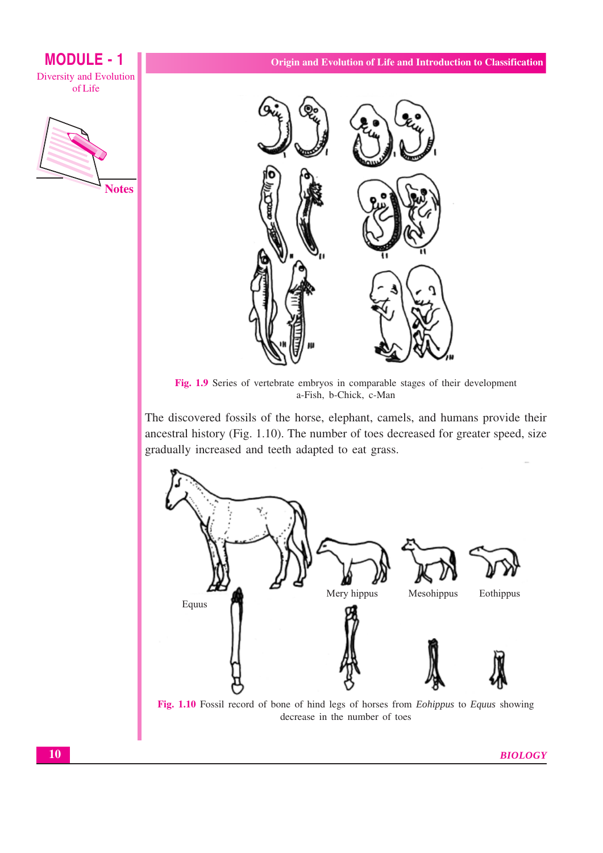

**MODULE - 1** 



Fig. 1.9 Series of vertebrate embryos in comparable stages of their development a-Fish, b-Chick, c-Man

The discovered fossils of the horse, elephant, camels, and humans provide their ancestral history (Fig. 1.10). The number of toes decreased for greater speed, size gradually increased and teeth adapted to eat grass.



Fig. 1.10 Fossil record of bone of hind legs of horses from *Eohippus* to *Equus* showing decrease in the number of toes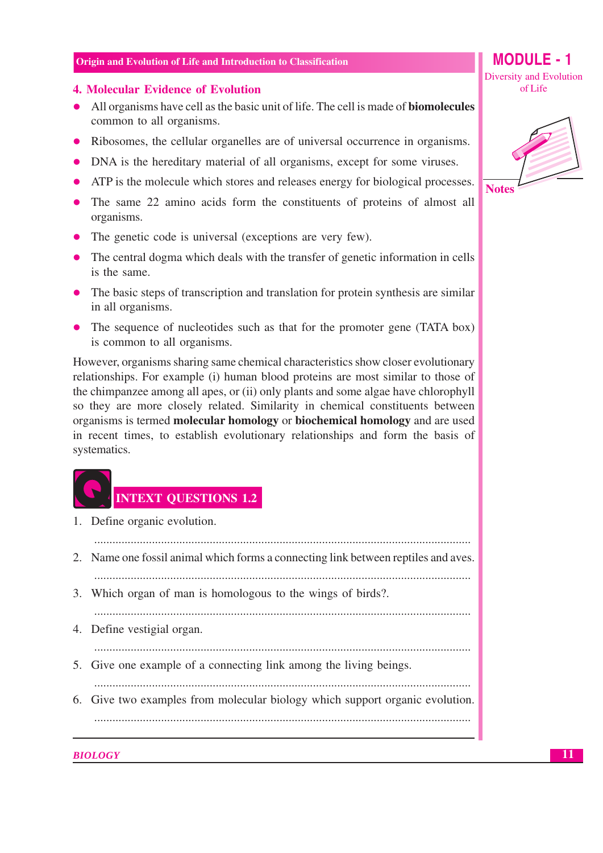#### **4. Molecular Evidence of Evolution**

- All organisms have cell as the basic unit of life. The cell is made of **biomolecules** common to all organisms.
- Ribosomes, the cellular organelles are of universal occurrence in organisms.
- DNA is the hereditary material of all organisms, except for some viruses.
- ATP is the molecule which stores and releases energy for biological processes.
- The same 22 amino acids form the constituents of proteins of almost all organisms.
- $\bullet$  The genetic code is universal (exceptions are very few).
- The central dogma which deals with the transfer of genetic information in cells is the same.
- The basic steps of transcription and translation for protein synthesis are similar in all organisms.
- The sequence of nucleotides such as that for the promoter gene (TATA box) is common to all organisms.

However, organisms sharing same chemical characteristics show closer evolutionary relationships. For example (i) human blood proteins are most similar to those of the chimpanzee among all apes, or (ii) only plants and some algae have chlorophyll so they are more closely related. Similarity in chemical constituents between organisms is termed molecular homology or biochemical homology and are used in recent times, to establish evolutionary relationships and form the basis of systematics.

# **INTEXT OUESTIONS 1.2**

| 1. Define organic evolution.                                                       |
|------------------------------------------------------------------------------------|
| 2. Name one fossil animal which forms a connecting link between reptiles and aves. |
| 3. Which organ of man is homologous to the wings of birds?.                        |
| 4. Define vestigial organ.                                                         |
| 5. Give one example of a connecting link among the living beings.                  |
| 6. Give two examples from molecular biology which support organic evolution.       |
|                                                                                    |

**MODULE - 1** 

**Diversity and Evolution** 

of Life

**Notes** 

**BIOLOGY**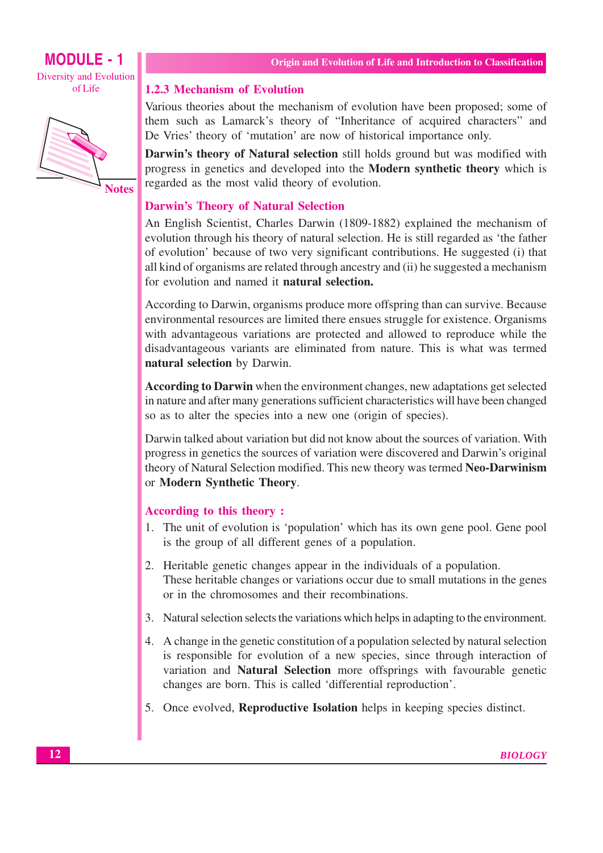



**Notes** 

#### **1.2.3 Mechanism of Evolution**

Various theories about the mechanism of evolution have been proposed; some of them such as Lamarck's theory of "Inheritance of acquired characters" and De Vries' theory of 'mutation' are now of historical importance only.

Darwin's theory of Natural selection still holds ground but was modified with progress in genetics and developed into the **Modern synthetic theory** which is regarded as the most valid theory of evolution.

#### **Darwin's Theory of Natural Selection**

An English Scientist, Charles Darwin (1809-1882) explained the mechanism of evolution through his theory of natural selection. He is still regarded as 'the father of evolution' because of two very significant contributions. He suggested (i) that all kind of organisms are related through ancestry and (ii) he suggested a mechanism for evolution and named it **natural selection.** 

According to Darwin, organisms produce more offspring than can survive. Because environmental resources are limited there ensues struggle for existence. Organisms with advantageous variations are protected and allowed to reproduce while the disadvantageous variants are eliminated from nature. This is what was termed natural selection by Darwin.

According to Darwin when the environment changes, new adaptations get selected in nature and after many generations sufficient characteristics will have been changed so as to alter the species into a new one (origin of species).

Darwin talked about variation but did not know about the sources of variation. With progress in genetics the sources of variation were discovered and Darwin's original theory of Natural Selection modified. This new theory was termed Neo-Darwinism or Modern Synthetic Theory.

#### According to this theory:

- 1. The unit of evolution is 'population' which has its own gene pool. Gene pool is the group of all different genes of a population.
- 2. Heritable genetic changes appear in the individuals of a population. These heritable changes or variations occur due to small mutations in the genes or in the chromosomes and their recombinations.
- 3. Natural selection selects the variations which helps in adapting to the environment.
- 4. A change in the genetic constitution of a population selected by natural selection is responsible for evolution of a new species, since through interaction of variation and Natural Selection more offsprings with favourable genetic changes are born. This is called 'differential reproduction'.
- 5. Once evolved, Reproductive Isolation helps in keeping species distinct.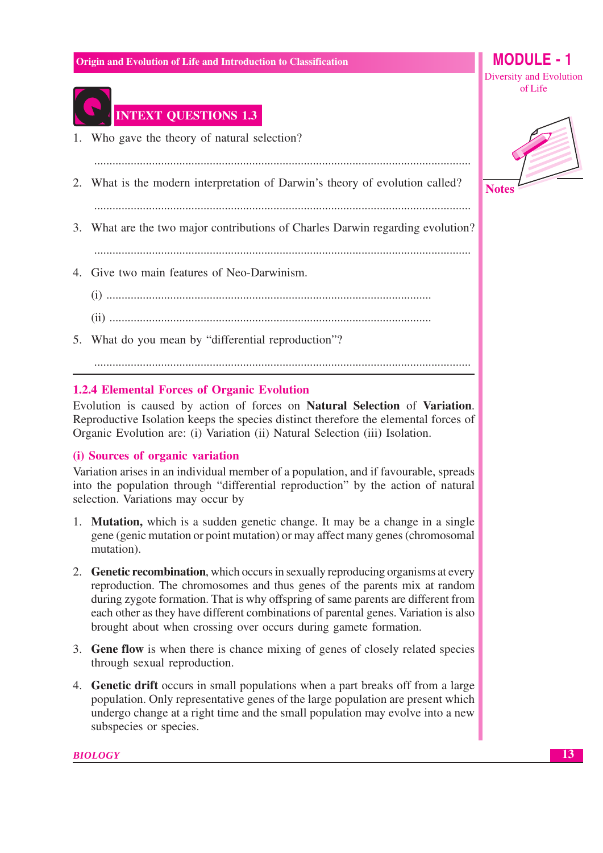# **MODULE** - 1 Diversity and Evolution

of Life



# **INTEXT QUESTIONS 1.3**

- 1. Who gave the theory of natural selection?
- 2. What is the modern interpretation of Darwin's theory of evolution called?

3. What are the two major contributions of Charles Darwin regarding evolution?

- 4. Give two main features of Neo-Darwinism.
	-
	-
- 5. What do you mean by "differential reproduction"?

#### 

# **1.2.4 Elemental Forces of Organic Evolution**

Evolution is caused by action of forces on Natural Selection of Variation. Reproductive Isolation keeps the species distinct therefore the elemental forces of Organic Evolution are: (i) Variation (ii) Natural Selection (iii) Isolation.

# (i) Sources of organic variation

Variation arises in an individual member of a population, and if favourable, spreads into the population through "differential reproduction" by the action of natural selection. Variations may occur by

- 1. **Mutation**, which is a sudden genetic change. It may be a change in a single gene (genic mutation or point mutation) or may affect many genes (chromosomal mutation).
- 2. Genetic recombination, which occurs in sexually reproducing organisms at every reproduction. The chromosomes and thus genes of the parents mix at random during zygote formation. That is why offspring of same parents are different from each other as they have different combinations of parental genes. Variation is also brought about when crossing over occurs during gamete formation.
- 3. Gene flow is when there is chance mixing of genes of closely related species through sexual reproduction.
- 4. Genetic drift occurs in small populations when a part breaks off from a large population. Only representative genes of the large population are present which undergo change at a right time and the small population may evolve into a new subspecies or species.

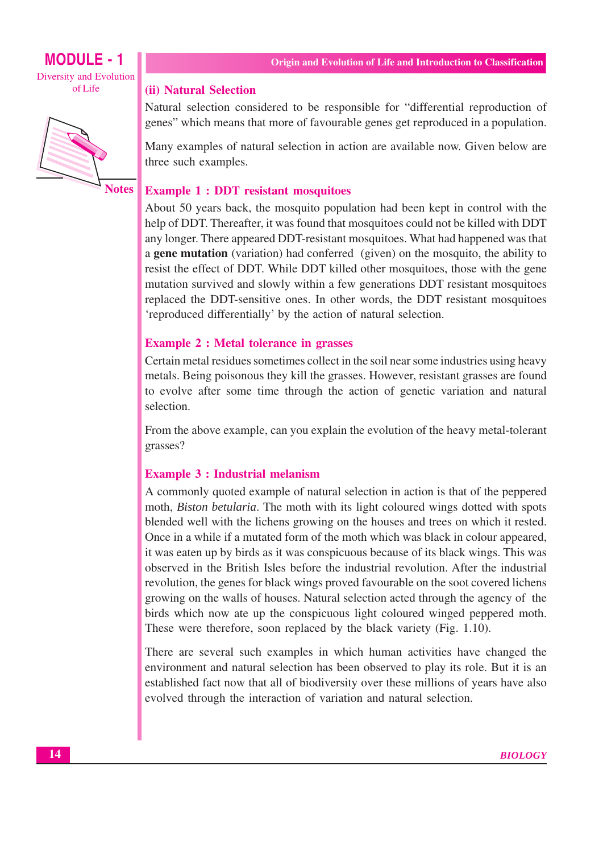

#### (ii) Natural Selection

Natural selection considered to be responsible for "differential reproduction of genes" which means that more of favourable genes get reproduced in a population.

Many examples of natural selection in action are available now. Given below are three such examples.

#### **Notes Example 1 : DDT resistant mosquitoes**

About 50 years back, the mosquito population had been kept in control with the help of DDT. Thereafter, it was found that mosquitoes could not be killed with DDT any longer. There appeared DDT-resistant mosquitoes. What had happened was that a **gene mutation** (variation) had conferred (given) on the mosquito, the ability to resist the effect of DDT. While DDT killed other mosquitoes, those with the gene mutation survived and slowly within a few generations DDT resistant mosquitoes replaced the DDT-sensitive ones. In other words, the DDT resistant mosquitoes 'reproduced differentially' by the action of natural selection.

# **Example 2 : Metal tolerance in grasses**

Certain metal residues sometimes collect in the soil near some industries using heavy metals. Being poisonous they kill the grasses. However, resistant grasses are found to evolve after some time through the action of genetic variation and natural selection.

From the above example, can you explain the evolution of the heavy metal-tolerant grasses?

# **Example 3 : Industrial melanism**

A commonly quoted example of natural selection in action is that of the peppered moth, *Biston betularia*. The moth with its light coloured wings dotted with spots blended well with the lichens growing on the houses and trees on which it rested. Once in a while if a mutated form of the moth which was black in colour appeared, it was eaten up by birds as it was conspicuous because of its black wings. This was observed in the British Isles before the industrial revolution. After the industrial revolution, the genes for black wings proved favourable on the soot covered lichens growing on the walls of houses. Natural selection acted through the agency of the birds which now ate up the conspicuous light coloured winged peppered moth. These were therefore, soon replaced by the black variety (Fig. 1.10).

There are several such examples in which human activities have changed the environment and natural selection has been observed to play its role. But it is an established fact now that all of biodiversity over these millions of years have also evolved through the interaction of variation and natural selection.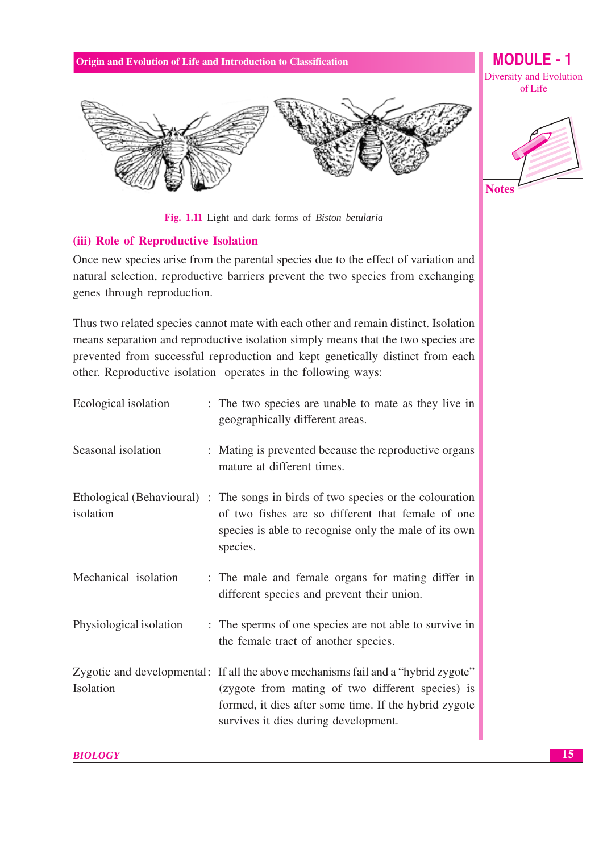Fig. 1.11 Light and dark forms of Biston betularia

# (iii) Role of Reproductive Isolation

Once new species arise from the parental species due to the effect of variation and natural selection, reproductive barriers prevent the two species from exchanging genes through reproduction.

Thus two related species cannot mate with each other and remain distinct. Isolation means separation and reproductive isolation simply means that the two species are prevented from successful reproduction and kept genetically distinct from each other. Reproductive isolation operates in the following ways:

| Ecological isolation    | : The two species are unable to mate as they live in<br>geographically different areas.                                                                                                                                                |
|-------------------------|----------------------------------------------------------------------------------------------------------------------------------------------------------------------------------------------------------------------------------------|
| Seasonal isolation      | : Mating is prevented because the reproductive organs<br>mature at different times.                                                                                                                                                    |
| isolation               | Ethological (Behavioural) : The songs in birds of two species or the colouration<br>of two fishes are so different that female of one<br>species is able to recognise only the male of its own<br>species.                             |
| Mechanical isolation    | : The male and female organs for mating differ in<br>different species and prevent their union.                                                                                                                                        |
| Physiological isolation | : The sperms of one species are not able to survive in<br>the female tract of another species.                                                                                                                                         |
| Isolation               | Zygotic and developmental: If all the above mechanisms fail and a "hybrid zygote"<br>(zygote from mating of two different species) is<br>formed, it dies after some time. If the hybrid zygote<br>survives it dies during development. |

**MODULE - 1 Diversity and Evolution** of Life

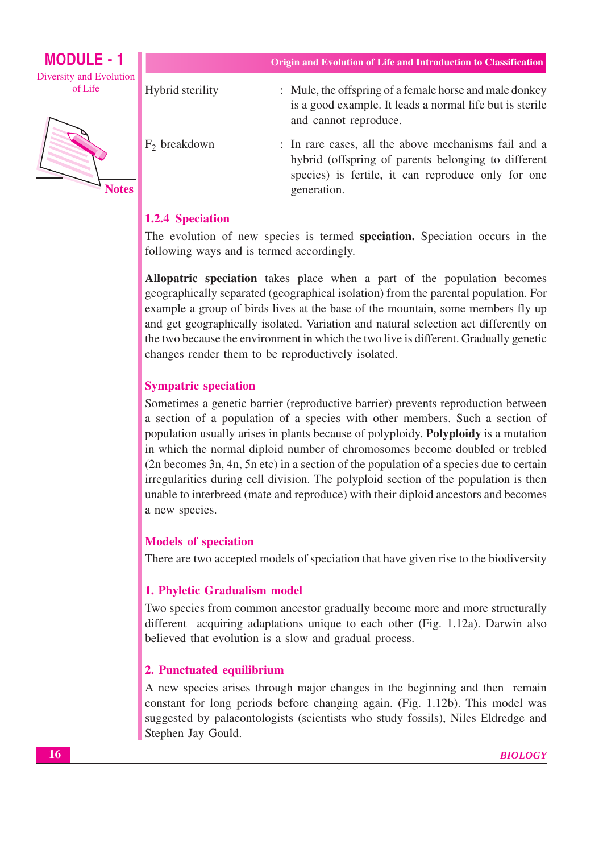MODULE -  $1$ Diversity and Evolution of Life



Origin and Evolution of Life and Introduction to Classification

Hybrid sterility

 $F_2$  breakdown

- : Mule, the offspring of a female horse and male donkey is a good example. It leads a normal life but is sterile and cannot reproduce.
- : In rare cases, all the above mechanisms fail and a hybrid (offspring of parents belonging to different species) is fertile, it can reproduce only for one generation.

# **1.2.4 Speciation**

The evolution of new species is termed speciation. Speciation occurs in the following ways and is termed accordingly.

Allopatric speciation takes place when a part of the population becomes geographically separated (geographical isolation) from the parental population. For example a group of birds lives at the base of the mountain, some members fly up and get geographically isolated. Variation and natural selection act differently on the two because the environment in which the two live is different. Gradually genetic changes render them to be reproductively isolated.

# **Sympatric speciation**

Sometimes a genetic barrier (reproductive barrier) prevents reproduction between a section of a population of a species with other members. Such a section of population usually arises in plants because of polyploidy. Polyploidy is a mutation in which the normal diploid number of chromosomes become doubled or trebled (2n becomes 3n, 4n, 5n etc) in a section of the population of a species due to certain irregularities during cell division. The polyploid section of the population is then unable to interbreed (mate and reproduce) with their diploid ancestors and becomes a new species.

# **Models of speciation**

There are two accepted models of speciation that have given rise to the biodiversity

# 1. Phyletic Gradualism model

Two species from common ancestor gradually become more and more structurally different acquiring adaptations unique to each other (Fig. 1.12a). Darwin also believed that evolution is a slow and gradual process.

# 2. Punctuated equilibrium

A new species arises through major changes in the beginning and then remain constant for long periods before changing again. (Fig. 1.12b). This model was suggested by palaeontologists (scientists who study fossils), Niles Eldredge and Stephen Jay Gould.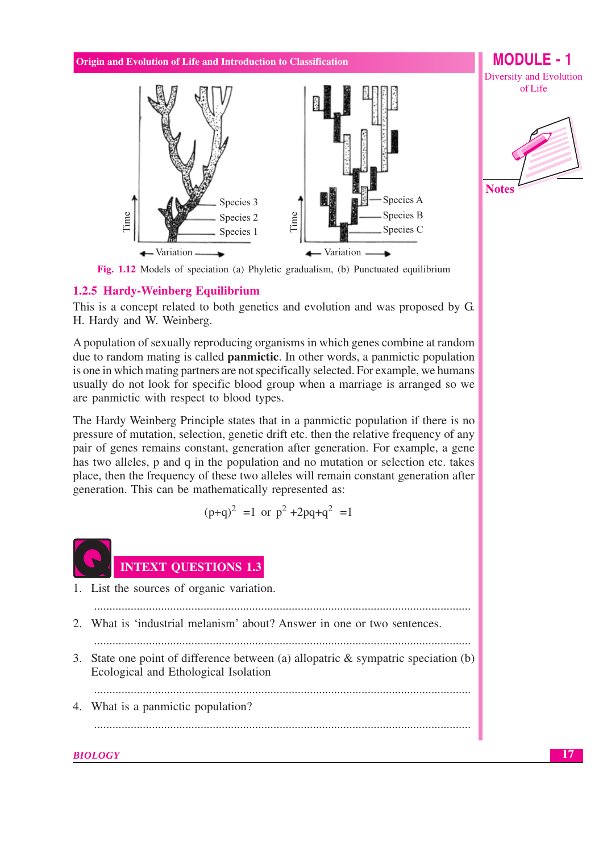

**MODULE - 1** Diversity and Evolution of Life



Fig. 1.12 Models of speciation (a) Phyletic gradualism, (b) Punctuated equilibrium

#### 1.2.5 Hardy-Weinberg Equilibrium

This is a concept related to both genetics and evolution and was proposed by G. H. Hardy and W. Weinberg.

A population of sexually reproducing organisms in which genes combine at random due to random mating is called **panmictic**. In other words, a panmictic population is one in which mating partners are not specifically selected. For example, we humans usually do not look for specific blood group when a marriage is arranged so we are panmictic with respect to blood types.

The Hardy Weinberg Principle states that in a panmictic population if there is no pressure of mutation, selection, genetic drift etc. then the relative frequency of any pair of genes remains constant, generation after generation. For example, a gene has two alleles, p and q in the population and no mutation or selection etc. takes place, then the frequency of these two alleles will remain constant generation after generation. This can be mathematically represented as:

$$
(p+q)^2 = 1
$$
 or  $p^2 + 2pq+q^2 = 1$ 



# **INTEXT QUESTIONS 1.3**

1. List the sources of organic variation.

2. What is 'industrial melanism' about? Answer in one or two sentences.

3. State one point of difference between (a) allopatric  $\&$  sympatric speciation (b) Ecological and Ethological Isolation

4. What is a panmictic population?

#### **BIOLOGY**

17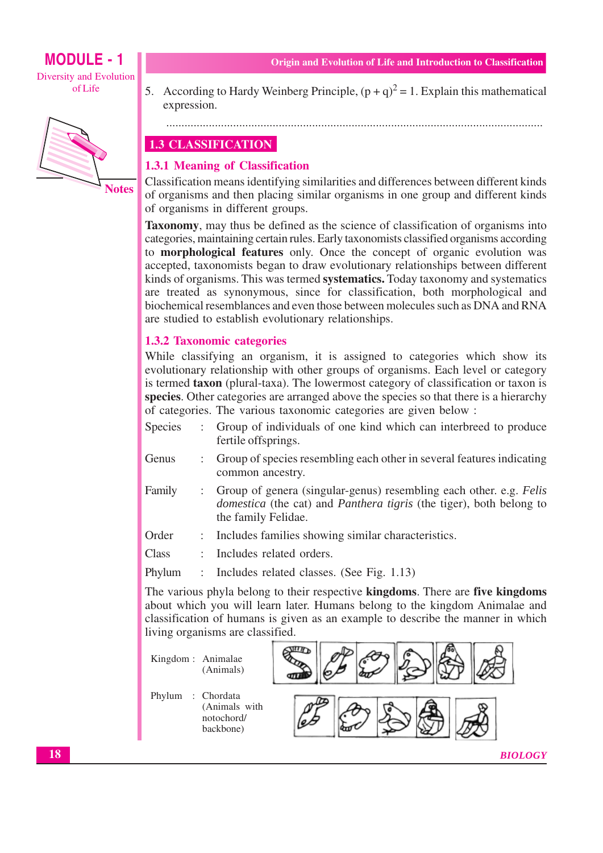**MODULE - 1** Diversity and Evolution of Life



Origin and Evolution of Life and Introduction to Classification

5. According to Hardy Weinberg Principle,  $(p+q)^2 = 1$ . Explain this mathematical expression.

#### 

# **1.3 CLASSIFICATION**

# 1.3.1 Meaning of Classification

Classification means identifying similarities and differences between different kinds of organisms and then placing similar organisms in one group and different kinds of organisms in different groups.

**Taxonomy**, may thus be defined as the science of classification of organisms into categories, maintaining certain rules. Early taxonomists classified organisms according to **morphological features** only. Once the concept of organic evolution was accepted, taxonomists began to draw evolutionary relationships between different kinds of organisms. This was termed **systematics**. Today taxonomy and systematics are treated as synonymous, since for classification, both morphological and biochemical resemblances and even those between molecules such as DNA and RNA are studied to establish evolutionary relationships.

# **1.3.2 Taxonomic categories**

While classifying an organism, it is assigned to categories which show its evolutionary relationship with other groups of organisms. Each level or category is termed **taxon** (plural-taxa). The lowermost category of classification or taxon is species. Other categories are arranged above the species so that there is a hierarchy of categories. The various taxonomic categories are given below:

- **Species**  $\mathbf{r}$ Group of individuals of one kind which can interbreed to produce fertile offsprings.
- Genus Group of species resembling each other in several features indicating  $\mathbb{R}^{\mathbb{Z}}$ common ancestry.
- Group of genera (singular-genus) resembling each other. e.g. Felis Family  $\ddot{\phantom{a}}$ domestica (the cat) and Panthera tigris (the tiger), both belong to the family Felidae.
- Order Includes families showing similar characteristics.  $\ddot{\cdot}$
- Class  $\cdot$ Includes related orders.

Phylum Includes related classes. (See Fig. 1.13)  $\cdot$ 

The various phyla belong to their respective kingdoms. There are five kingdoms about which you will learn later. Humans belong to the kingdom Animalae and classification of humans is given as an example to describe the manner in which living organisms are classified.

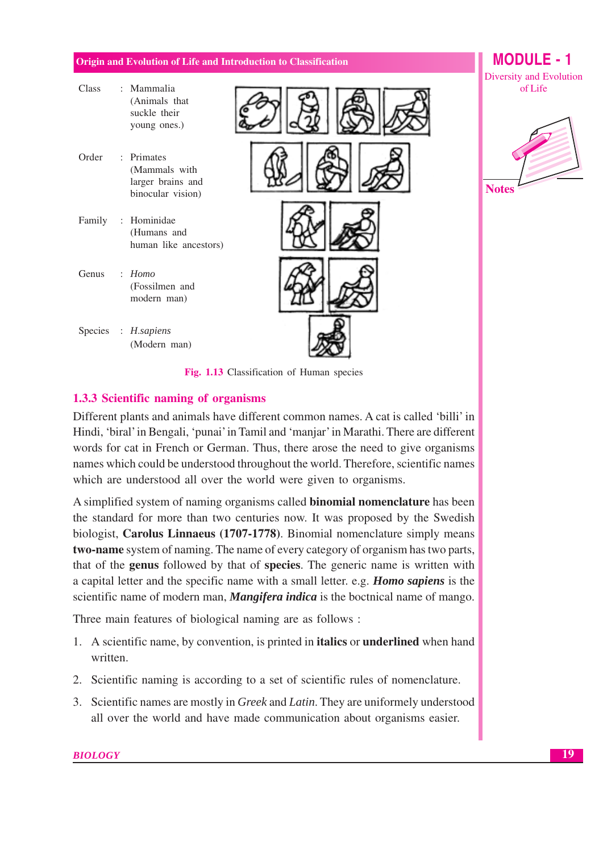$C1$ 

 $\mathbf{M}$ 

# **MODULE** - 1

of Life

| Ciado  | ivianninana<br>(Animals that<br>suckle their<br>young ones.)          |  |
|--------|-----------------------------------------------------------------------|--|
| Order  | : Primates<br>(Mammals with<br>larger brains and<br>binocular vision) |  |
| Family | : Hominidae<br>(Humans and<br>human like ancestors)                   |  |
| Genus  | $\therefore$ Homo<br>(Fossilmen and<br>modern man)                    |  |
|        | Species : H.sapiens<br>(Modern man)                                   |  |





Fig. 1.13 Classification of Human species

# 1.3.3 Scientific naming of organisms

Different plants and animals have different common names. A cat is called 'billi' in Hindi, 'biral' in Bengali, 'punai' in Tamil and 'manjar' in Marathi. There are different words for cat in French or German. Thus, there arose the need to give organisms names which could be understood throughout the world. Therefore, scientific names which are understood all over the world were given to organisms.

A simplified system of naming organisms called **binomial nomenclature** has been the standard for more than two centuries now. It was proposed by the Swedish biologist, Carolus Linnaeus (1707-1778). Binomial nomenclature simply means two-name system of naming. The name of every category of organism has two parts, that of the **genus** followed by that of **species**. The generic name is written with a capital letter and the specific name with a small letter. e.g. Homo sapiens is the scientific name of modern man, *Mangifera indica* is the boctnical name of mango.

Three main features of biological naming are as follows :

- 1. A scientific name, by convention, is printed in **italics** or **underlined** when hand written
- 2. Scientific naming is according to a set of scientific rules of nomenclature.
- 3. Scientific names are mostly in Greek and Latin. They are uniformely understood all over the world and have made communication about organisms easier.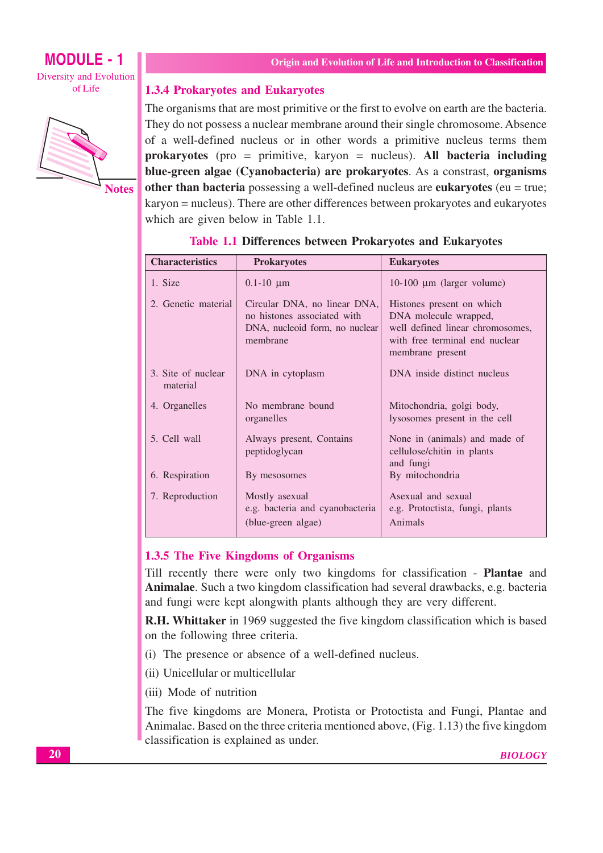# **MODULE - 1 Diversity and Evolution** of Life



**Notes** 

# **1.3.4 Prokaryotes and Eukaryotes**

The organisms that are most primitive or the first to evolve on earth are the bacteria. They do not possess a nuclear membrane around their single chromosome. Absence of a well-defined nucleus or in other words a primitive nucleus terms them prokaryotes (pro = primitive, karyon = nucleus). All bacteria including blue-green algae (Cyanobacteria) are prokaryotes. As a constrast, organisms other than bacteria possessing a well-defined nucleus are eukaryotes ( $eu = true$ ; karyon = nucleus). There are other differences between prokaryotes and eukaryotes which are given below in Table 1.1.

| <b>Characteristics</b>         | <b>Prokaryotes</b>                                                                                        | <b>Eukaryotes</b>                                                                                                                            |
|--------------------------------|-----------------------------------------------------------------------------------------------------------|----------------------------------------------------------------------------------------------------------------------------------------------|
| 1. Size                        | $0.1 - 10 \mu m$                                                                                          | $10-100 \mu m$ (larger volume)                                                                                                               |
| 2. Genetic material            | Circular DNA, no linear DNA,<br>no histones associated with<br>DNA, nucleoid form, no nuclear<br>membrane | Histones present on which<br>DNA molecule wrapped,<br>well defined linear chromosomes,<br>with free terminal end nuclear<br>membrane present |
| 3. Site of nuclear<br>material | DNA in cytoplasm                                                                                          | DNA inside distinct nucleus                                                                                                                  |
| 4. Organelles                  | No membrane bound<br>organelles                                                                           | Mitochondria, golgi body,<br>lysosomes present in the cell                                                                                   |
| 5. Cell wall                   | Always present, Contains<br>peptidoglycan                                                                 | None in (animals) and made of<br>cellulose/chitin in plants<br>and fungi                                                                     |
| 6. Respiration                 | By mesosomes                                                                                              | By mitochondria                                                                                                                              |
| 7. Reproduction                | Mostly asexual<br>e.g. bacteria and cyanobacteria<br>(blue-green algae)                                   | Asexual and sexual<br>e.g. Protoctista, fungi, plants<br>Animals                                                                             |

# **Table 1.1 Differences between Prokaryotes and Eukaryotes**

# 1.3.5 The Five Kingdoms of Organisms

Till recently there were only two kingdoms for classification - **Plantae** and Animalae. Such a two kingdom classification had several drawbacks, e.g. bacteria and fungi were kept along with plants although they are very different.

**R.H. Whittaker** in 1969 suggested the five kingdom classification which is based on the following three criteria.

- (i) The presence or absence of a well-defined nucleus.
- (ii) Unicellular or multicellular
- (iii) Mode of nutrition

The five kingdoms are Monera, Protista or Protoctista and Fungi, Plantae and Animalae. Based on the three criteria mentioned above, (Fig. 1.13) the five kingdom classification is explained as under.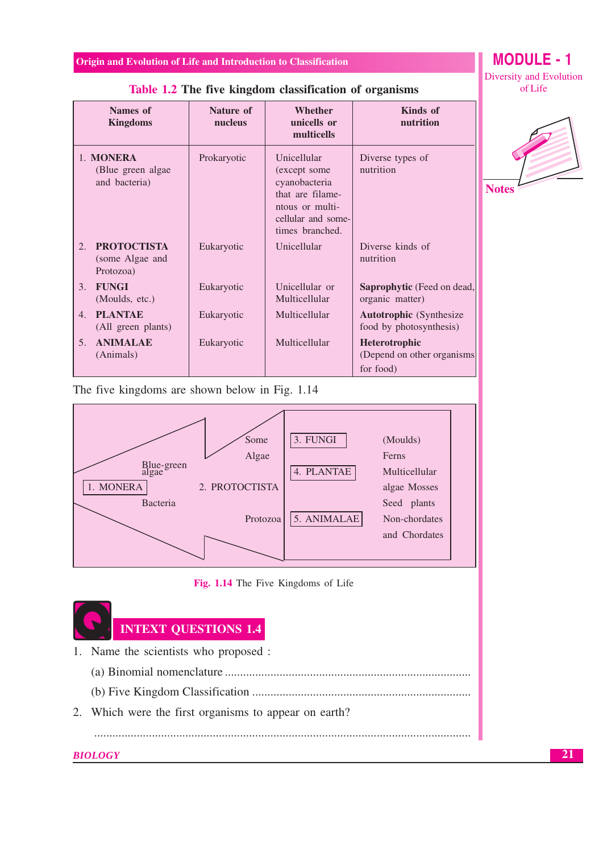| Names of<br><b>Kingdoms</b>                              | Nature of<br>nucleus | <b>Whether</b><br>unicells or<br>multicells                                                                                   | <b>Kinds</b> of<br>nutrition                                    |
|----------------------------------------------------------|----------------------|-------------------------------------------------------------------------------------------------------------------------------|-----------------------------------------------------------------|
| 1. MONERA<br>(Blue green algae)<br>and bacteria)         | Prokaryotic          | Unicellular<br>(except some)<br>cyanobacteria<br>that are filame-<br>ntous or multi-<br>cellular and some-<br>times branched. | Diverse types of<br>nutrition                                   |
| <b>PROTOCTISTA</b><br>2.<br>(some Algae and<br>Protozoa) | Eukaryotic           | Unicellular                                                                                                                   | Diverse kinds of<br>nutrition                                   |
| <b>FUNGI</b><br>3.<br>(Moulds, etc.)                     | Eukaryotic           | Unicellular or<br>Multicellular                                                                                               | <b>Saprophytic</b> (Feed on dead,<br>organic matter)            |
| <b>PLANTAE</b><br>$\mathbf{4}$ .<br>(All green plants)   | Eukaryotic           | Multicellular                                                                                                                 | <b>Autotrophic</b> (Synthesize)<br>food by photosynthesis)      |
| <b>ANIMALAE</b><br>5 <sub>1</sub><br>(Animals)           | Eukaryotic           | Multicellular                                                                                                                 | <b>Heterotrophic</b><br>(Depend on other organisms<br>for food) |

# Table 1.2 The five kingdom classification of organisms

The five kingdoms are shown below in Fig. 1.14



#### Fig. 1.14 The Five Kingdoms of Life



- 1. Name the scientists who proposed :
	-
	-

2. Which were the first organisms to appear on earth?

**BIOLOGY** 

 $\cdots$ 

# **MODULE - 1 Diversity and Evolution** of Life

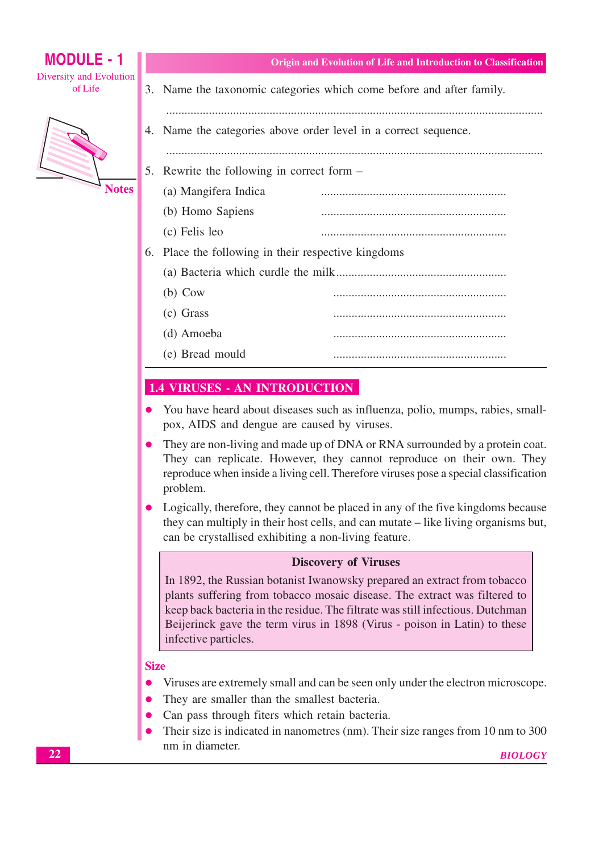| <b>MODULE - 1</b>                  |                                                                                                                                                                                                                                                                                                                                              | Origin and Evolution of Life and Introduction to Classification |  |
|------------------------------------|----------------------------------------------------------------------------------------------------------------------------------------------------------------------------------------------------------------------------------------------------------------------------------------------------------------------------------------------|-----------------------------------------------------------------|--|
| Diversity and Evolution<br>of Life | 3. Name the taxonomic categories which come before and after family.                                                                                                                                                                                                                                                                         |                                                                 |  |
|                                    | 4. Name the categories above order level in a correct sequence.                                                                                                                                                                                                                                                                              |                                                                 |  |
|                                    | 5. Rewrite the following in correct form –                                                                                                                                                                                                                                                                                                   |                                                                 |  |
| <b>Notes</b>                       | (a) Mangifera Indica                                                                                                                                                                                                                                                                                                                         |                                                                 |  |
|                                    | (b) Homo Sapiens                                                                                                                                                                                                                                                                                                                             |                                                                 |  |
|                                    | (c) Felis leo                                                                                                                                                                                                                                                                                                                                |                                                                 |  |
|                                    | 6. Place the following in their respective kingdoms                                                                                                                                                                                                                                                                                          |                                                                 |  |
|                                    |                                                                                                                                                                                                                                                                                                                                              |                                                                 |  |
|                                    | $(b)$ Cow                                                                                                                                                                                                                                                                                                                                    |                                                                 |  |
|                                    | (c) Grass                                                                                                                                                                                                                                                                                                                                    |                                                                 |  |
|                                    | (d) Amoeba                                                                                                                                                                                                                                                                                                                                   |                                                                 |  |
|                                    | (e) Bread mould                                                                                                                                                                                                                                                                                                                              |                                                                 |  |
|                                    |                                                                                                                                                                                                                                                                                                                                              |                                                                 |  |
|                                    | <b>1.4 VIRUSES - AN INTRODUCTION</b>                                                                                                                                                                                                                                                                                                         |                                                                 |  |
|                                    | You have heard about diseases such as influenza, polio, mumps, rabies, small-<br>pox, AIDS and dengue are caused by viruses.                                                                                                                                                                                                                 |                                                                 |  |
|                                    | They are non-living and made up of DNA or RNA surrounded by a protein coat.<br>They can replicate. However, they cannot reproduce on their own. They<br>reproduce when inside a living cell. Therefore viruses pose a special classification<br>problem.                                                                                     |                                                                 |  |
|                                    | Logically, therefore, they cannot be placed in any of the five kingdoms because<br>they can multiply in their host cells, and can mutate - like living organisms but,<br>can be crystallised exhibiting a non-living feature.                                                                                                                |                                                                 |  |
|                                    | <b>Discovery of Viruses</b>                                                                                                                                                                                                                                                                                                                  |                                                                 |  |
|                                    | In 1892, the Russian botanist Iwanowsky prepared an extract from tobacco<br>plants suffering from tobacco mosaic disease. The extract was filtered to<br>keep back bacteria in the residue. The filtrate was still infectious. Dutchman<br>Beijerinck gave the term virus in 1898 (Virus - poison in Latin) to these<br>infective particles. |                                                                 |  |
|                                    | <b>Size</b>                                                                                                                                                                                                                                                                                                                                  |                                                                 |  |
|                                    | Viruses are extremely small and can be seen only under the electron microscope.                                                                                                                                                                                                                                                              |                                                                 |  |
|                                    | They are smaller than the smallest bacteria.                                                                                                                                                                                                                                                                                                 |                                                                 |  |
|                                    | Can pass through fiters which retain bacteria.                                                                                                                                                                                                                                                                                               |                                                                 |  |
|                                    | Their size is indicated in nanometres (nm). Their size ranges from 10 nm to 300                                                                                                                                                                                                                                                              |                                                                 |  |

nm in diameter.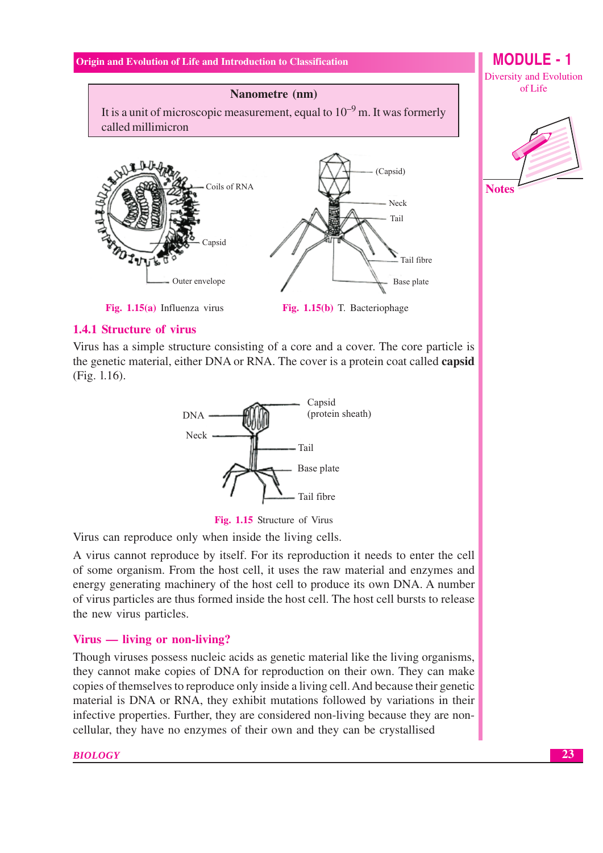**MODULE - 1 Diversity and Evolution** of Life

# Nanometre (nm)

It is a unit of microscopic measurement, equal to  $10^{-9}$  m. It was formerly called millimicron



**Notes** 

Fig. 1.15(b) T. Bacteriophage

#### **1.4.1 Structure of virus**

Virus has a simple structure consisting of a core and a cover. The core particle is the genetic material, either DNA or RNA. The cover is a protein coat called **capsid** (Fig. 1.16).



Fig. 1.15 Structure of Virus

Virus can reproduce only when inside the living cells.

A virus cannot reproduce by itself. For its reproduction it needs to enter the cell of some organism. From the host cell, it uses the raw material and enzymes and energy generating machinery of the host cell to produce its own DNA. A number of virus particles are thus formed inside the host cell. The host cell bursts to release the new virus particles.

# Virus — living or non-living?

Though viruses possess nucleic acids as genetic material like the living organisms, they cannot make copies of DNA for reproduction on their own. They can make copies of themselves to reproduce only inside a living cell. And because their genetic material is DNA or RNA, they exhibit mutations followed by variations in their infective properties. Further, they are considered non-living because they are noncellular, they have no enzymes of their own and they can be crystallised

#### **BIOLOGY**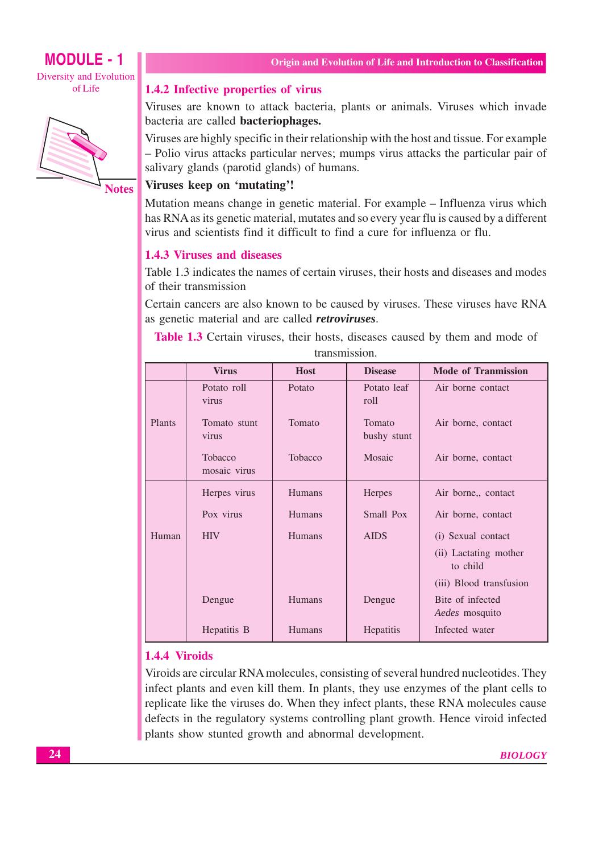

**Notes** 

#### 1.4.2 Infective properties of virus

Viruses are known to attack bacteria, plants or animals. Viruses which invade bacteria are called **bacteriophages.** 

Viruses are highly specific in their relationship with the host and tissue. For example - Polio virus attacks particular nerves; mumps virus attacks the particular pair of salivary glands (parotid glands) of humans.

# Viruses keep on 'mutating'!

Mutation means change in genetic material. For example – Influenza virus which has RNA as its genetic material, mutates and so every year flu is caused by a different virus and scientists find it difficult to find a cure for influenza or flu.

#### 1.4.3 Viruses and diseases

Table 1.3 indicates the names of certain viruses, their hosts and diseases and modes of their transmission

Certain cancers are also known to be caused by viruses. These viruses have RNA as genetic material and are called *retroviruses*.

Table 1.3 Certain viruses, their hosts, diseases caused by them and mode of transmission

|        | <b>Virus</b>                   | <b>Host</b>   | <b>Disease</b>        | <b>Mode of Tranmission</b>                |
|--------|--------------------------------|---------------|-----------------------|-------------------------------------------|
|        | Potato roll<br>virus           | Potato        | Potato leaf<br>roll   | Air borne contact                         |
| Plants | Tomato stunt<br>virus          | Tomato        | Tomato<br>bushy stunt | Air borne, contact                        |
|        | <b>Tobacco</b><br>mosaic virus | Tobacco       | Mosaic                | Air borne, contact                        |
|        | Herpes virus                   | Humans        | <b>Herpes</b>         | Air borne,, contact                       |
|        | Pox virus                      | <b>Humans</b> | Small Pox             | Air borne, contact                        |
| Human  | <b>HIV</b>                     | Humans        | <b>AIDS</b>           | (i) Sexual contact                        |
|        |                                |               |                       | (ii) Lactating mother<br>to child         |
|        |                                |               |                       | (iii) Blood transfusion                   |
|        | Dengue                         | <b>Humans</b> | Dengue                | Bite of infected<br><i>Aedes</i> mosquito |
|        | Hepatitis B                    | <b>Humans</b> | Hepatitis             | Infected water                            |

# 1.4.4 Viroids

Viroids are circular RNA molecules, consisting of several hundred nucleotides. They infect plants and even kill them. In plants, they use enzymes of the plant cells to replicate like the viruses do. When they infect plants, these RNA molecules cause defects in the regulatory systems controlling plant growth. Hence viroid infected plants show stunted growth and abnormal development.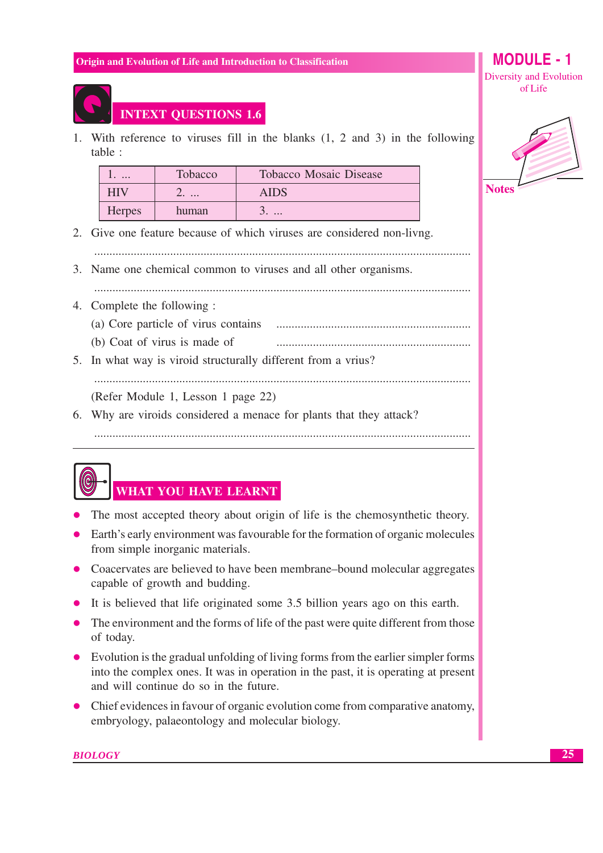# **MODULE** - 1 Diversity and Evolution

of Life



# **INTEXT QUESTIONS 1.6**

1. With reference to viruses fill in the blanks  $(1, 2, 2)$  and 3 in the following table:

| $\cdot$ $\cdot$ $\cdot$ | Tobacco | <b>Tobacco Mosaic Disease</b> |
|-------------------------|---------|-------------------------------|
|                         |         | AIDS                          |
| <b>Herpes</b>           | human   |                               |

2. Give one feature because of which viruses are considered non-livng.

3. Name one chemical common to viruses and all other organisms.

- 4. Complete the following :
	- (a) Core particle of virus contains
	- (b) Coat of virus is made of
- 5. In what way is viroid structurally different from a vrius?

# (Refer Module 1, Lesson 1 page 22)

6. Why are viroids considered a menace for plants that they attack?



# WHAT YOU HAVE LEARNT

- The most accepted theory about origin of life is the chemosynthetic theory.
- Earth's early environment was favourable for the formation of organic molecules from simple inorganic materials.
- Coacervates are believed to have been membrane-bound molecular aggregates capable of growth and budding.
- It is believed that life originated some 3.5 billion years ago on this earth.
- The environment and the forms of life of the past were quite different from those of today.
- Evolution is the gradual unfolding of living forms from the earlier simpler forms into the complex ones. It was in operation in the past, it is operating at present and will continue do so in the future.
- Chief evidences in favour of organic evolution come from comparative anatomy, embryology, palaeontology and molecular biology.

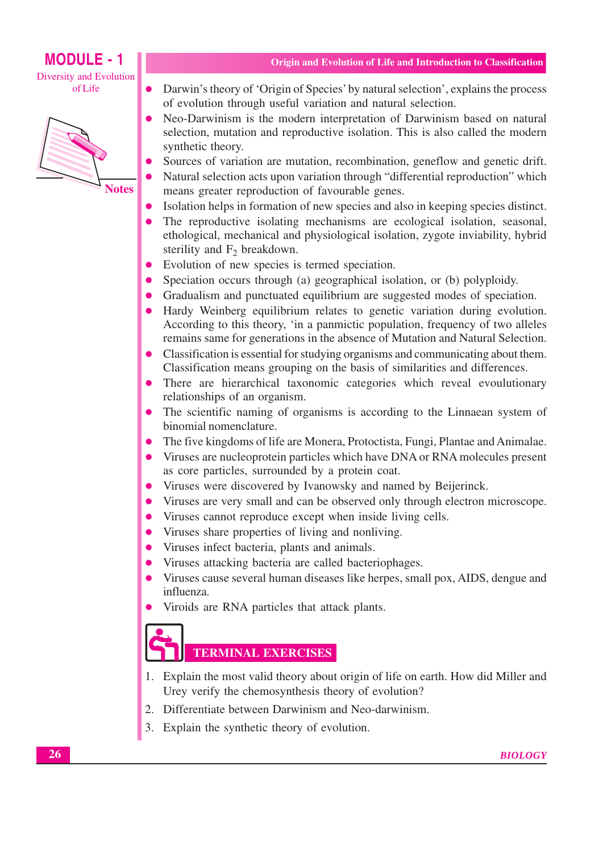# **MODULE - 1**

Diversity and Evolution of Life



- Darwin's theory of 'Origin of Species' by natural selection', explains the process  $\bullet$ of evolution through useful variation and natural selection.
- Neo-Darwinism is the modern interpretation of Darwinism based on natural  $\bullet$ selection, mutation and reproductive isolation. This is also called the modern synthetic theory.
- Sources of variation are mutation, recombination, geneflow and genetic drift.
- Natural selection acts upon variation through "differential reproduction" which means greater reproduction of favourable genes.
- Isolation helps in formation of new species and also in keeping species distinct.
- The reproductive isolating mechanisms are ecological isolation, seasonal, ethological, mechanical and physiological isolation, zygote inviability, hybrid sterility and  $F_2$  breakdown.
- Evolution of new species is termed speciation.  $\bullet$
- Speciation occurs through (a) geographical isolation, or (b) polyploidy.
- Gradualism and punctuated equilibrium are suggested modes of speciation.
- Hardy Weinberg equilibrium relates to genetic variation during evolution. According to this theory, 'in a panmictic population, frequency of two alleles remains same for generations in the absence of Mutation and Natural Selection.
- Classification is essential for studying organisms and communicating about them.  $\bullet$ Classification means grouping on the basis of similarities and differences.
- There are hierarchical taxonomic categories which reveal evoulutionary  $\bullet$ relationships of an organism.
- The scientific naming of organisms is according to the Linnaean system of binomial nomenclature.
- The five kingdoms of life are Monera, Protoctista, Fungi, Plantae and Animalae.  $\bullet$
- Viruses are nucleoprotein particles which have DNA or RNA molecules present as core particles, surrounded by a protein coat.
- Viruses were discovered by Ivanowsky and named by Beijerinck.  $\bullet$
- Viruses are very small and can be observed only through electron microscope.
- Viruses cannot reproduce except when inside living cells.  $\bullet$
- Viruses share properties of living and nonliving.  $\bullet$
- Viruses infect bacteria, plants and animals.
- Viruses attacking bacteria are called bacteriophages.
- Viruses cause several human diseases like herpes, small pox, AIDS, dengue and influenza.
- Viroids are RNA particles that attack plants.

# **TERMINAL EXERCISES**

- 1. Explain the most valid theory about origin of life on earth. How did Miller and Urey verify the chemosynthesis theory of evolution?
- 2. Differentiate between Darwinism and Neo-darwinism.
- 3. Explain the synthetic theory of evolution.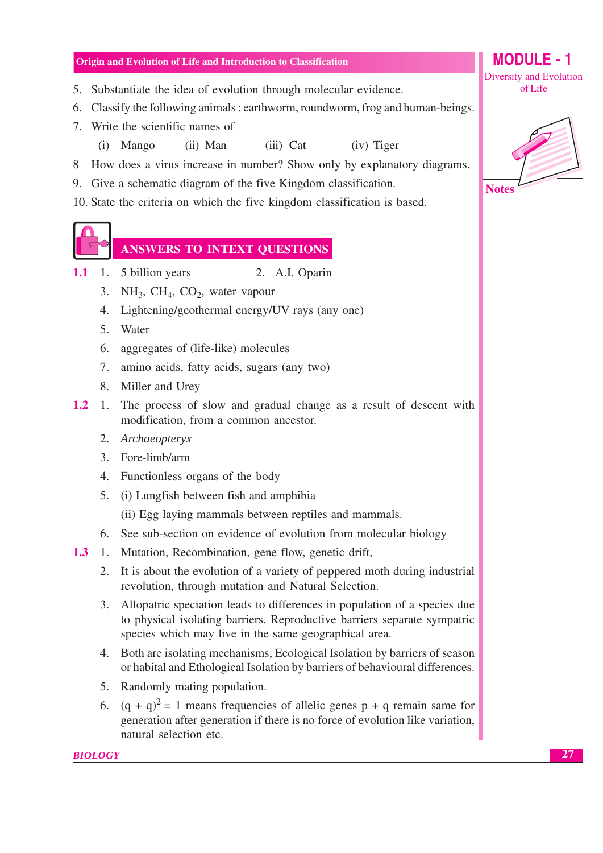- 5. Substantiate the idea of evolution through molecular evidence.
- 6. Classify the following animals : earthworm, roundworm, frog and human-beings.
- 7. Write the scientific names of
	- (ii) Man (iii) Cat (iv) Tiger  $(i)$  Mango
- 8 How does a virus increase in number? Show only by explanatory diagrams.
- 9. Give a schematic diagram of the five Kingdom classification.
- 10. State the criteria on which the five kingdom classification is based.

# **ANSWERS TO INTEXT QUESTIONS**

- $1.1$ 1. 5 billion years 2. A.I. Oparin
	- 3. NH<sub>3</sub>, CH<sub>4</sub>, CO<sub>2</sub>, water vapour
	- 4. Lightening/geothermal energy/UV rays (any one)
	- 5. Water
	- 6. aggregates of (life-like) molecules
	- 7. amino acids, fatty acids, sugars (any two)
	- 8. Miller and Urey
- $1.2$ 1. The process of slow and gradual change as a result of descent with modification, from a common ancestor.
	- 2. Archaeopteryx
	- 3. Fore-limb/arm
	- 4. Functionless organs of the body
	- 5. (i) Lungfish between fish and amphibia

(ii) Egg laying mammals between reptiles and mammals.

- 6. See sub-section on evidence of evolution from molecular biology
- 1.3 1. Mutation, Recombination, gene flow, genetic drift,
	- 2. It is about the evolution of a variety of peppered moth during industrial revolution, through mutation and Natural Selection.
	- 3. Allopatric speciation leads to differences in population of a species due to physical isolating barriers. Reproductive barriers separate sympatric species which may live in the same geographical area.
	- 4. Both are isolating mechanisms, Ecological Isolation by barriers of season or habital and Ethological Isolation by barriers of behavioural differences.
	- 5. Randomly mating population.
	- 6.  $(q + q)^2 = 1$  means frequencies of allelic genes  $p + q$  remain same for generation after generation if there is no force of evolution like variation, natural selection etc.

**Diversity and Evolution** of Life

**MODULE - 1**